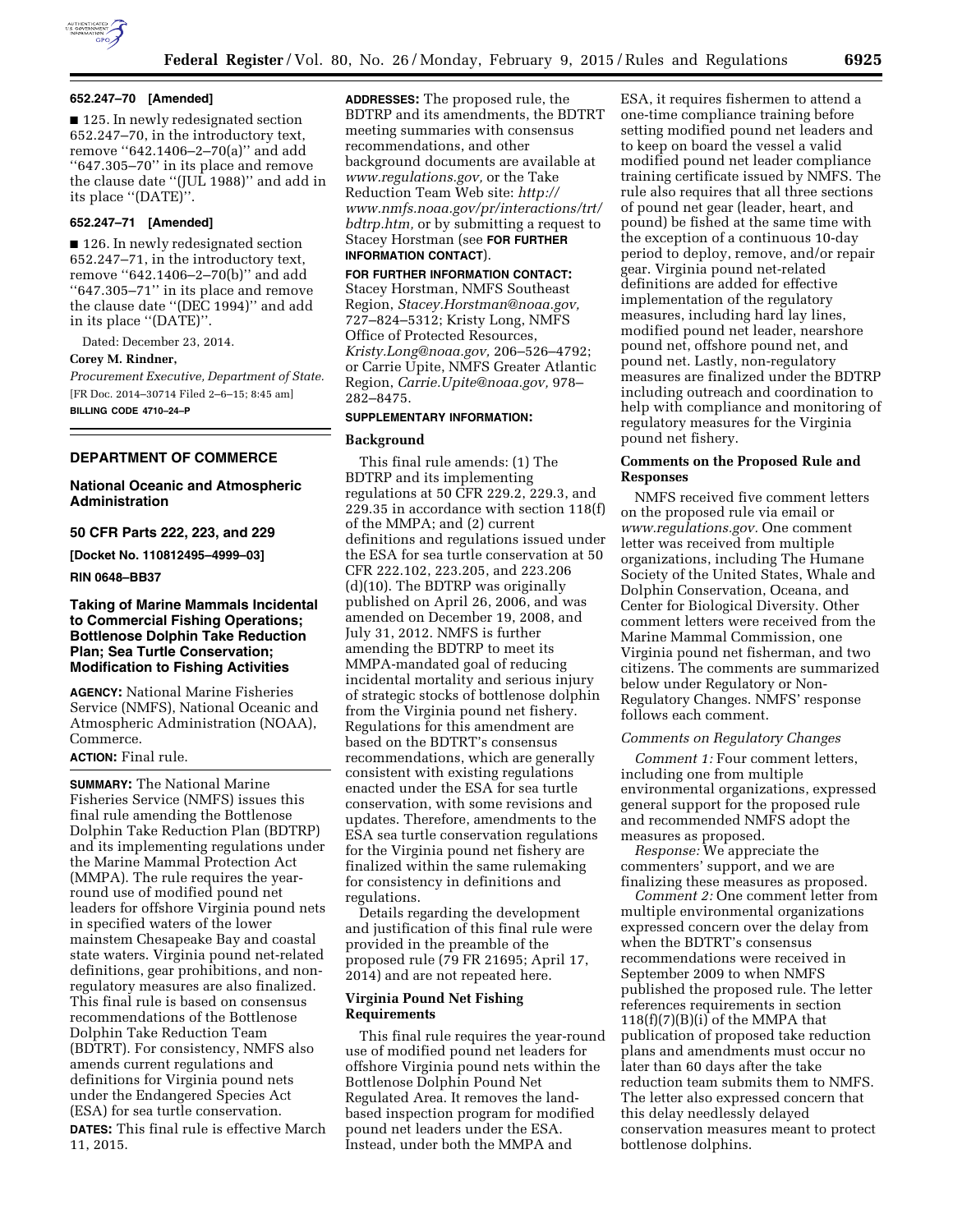

# **652.247–70 [Amended]**

■ 125. In newly redesignated section 652.247–70, in the introductory text, remove ''642.1406–2–70(a)'' and add ''647.305–70'' in its place and remove the clause date ''(JUL 1988)'' and add in its place ''(DATE)''.

### **652.247–71 [Amended]**

■ 126. In newly redesignated section 652.247–71, in the introductory text, remove ''642.1406–2–70(b)'' and add ''647.305–71'' in its place and remove the clause date ''(DEC 1994)'' and add in its place ''(DATE)''.

Dated: December 23, 2014. **Corey M. Rindner,**  *Procurement Executive, Department of State.*  [FR Doc. 2014–30714 Filed 2–6–15; 8:45 am] **BILLING CODE 4710–24–P** 

### **DEPARTMENT OF COMMERCE**

## **National Oceanic and Atmospheric Administration**

### **50 CFR Parts 222, 223, and 229**

**[Docket No. 110812495–4999–03]** 

#### **RIN 0648–BB37**

# **Taking of Marine Mammals Incidental to Commercial Fishing Operations; Bottlenose Dolphin Take Reduction Plan; Sea Turtle Conservation; Modification to Fishing Activities**

**AGENCY:** National Marine Fisheries Service (NMFS), National Oceanic and Atmospheric Administration (NOAA), Commerce.

### **ACTION:** Final rule.

**SUMMARY:** The National Marine Fisheries Service (NMFS) issues this final rule amending the Bottlenose Dolphin Take Reduction Plan (BDTRP) and its implementing regulations under the Marine Mammal Protection Act (MMPA). The rule requires the yearround use of modified pound net leaders for offshore Virginia pound nets in specified waters of the lower mainstem Chesapeake Bay and coastal state waters. Virginia pound net-related definitions, gear prohibitions, and nonregulatory measures are also finalized. This final rule is based on consensus recommendations of the Bottlenose Dolphin Take Reduction Team (BDTRT). For consistency, NMFS also amends current regulations and definitions for Virginia pound nets under the Endangered Species Act (ESA) for sea turtle conservation.

**DATES:** This final rule is effective March 11, 2015.

**ADDRESSES:** The proposed rule, the BDTRP and its amendments, the BDTRT meeting summaries with consensus recommendations, and other background documents are available at *[www.regulations.gov,](http://www.regulations.gov)* or the Take Reduction Team Web site: *[http://](http://www.nmfs.noaa.gov/pr/interactions/trt/bdtrp.htm) [www.nmfs.noaa.gov/pr/interactions/trt/](http://www.nmfs.noaa.gov/pr/interactions/trt/bdtrp.htm) [bdtrp.htm,](http://www.nmfs.noaa.gov/pr/interactions/trt/bdtrp.htm)* or by submitting a request to Stacey Horstman (see **FOR FURTHER INFORMATION CONTACT**).

# **FOR FURTHER INFORMATION CONTACT:**

Stacey Horstman, NMFS Southeast Region, *[Stacey.Horstman@noaa.gov,](mailto:Stacey.Horstman@noaa.gov)*  727–824–5312; Kristy Long, NMFS Office of Protected Resources, *[Kristy.Long@noaa.gov,](mailto:Kristy.Long@noaa.gov)* 206–526–4792; or Carrie Upite, NMFS Greater Atlantic Region, *[Carrie.Upite@noaa.gov,](mailto:Carrie.Upite@noaa.gov)* 978– 282–8475.

### **SUPPLEMENTARY INFORMATION:**

#### **Background**

This final rule amends: (1) The BDTRP and its implementing regulations at 50 CFR 229.2, 229.3, and 229.35 in accordance with section 118(f) of the MMPA; and (2) current definitions and regulations issued under the ESA for sea turtle conservation at 50 CFR 222.102, 223.205, and 223.206 (d)(10). The BDTRP was originally published on April 26, 2006, and was amended on December 19, 2008, and July 31, 2012. NMFS is further amending the BDTRP to meet its MMPA-mandated goal of reducing incidental mortality and serious injury of strategic stocks of bottlenose dolphin from the Virginia pound net fishery. Regulations for this amendment are based on the BDTRT's consensus recommendations, which are generally consistent with existing regulations enacted under the ESA for sea turtle conservation, with some revisions and updates. Therefore, amendments to the ESA sea turtle conservation regulations for the Virginia pound net fishery are finalized within the same rulemaking for consistency in definitions and regulations.

Details regarding the development and justification of this final rule were provided in the preamble of the proposed rule (79 FR 21695; April 17, 2014) and are not repeated here.

# **Virginia Pound Net Fishing Requirements**

This final rule requires the year-round use of modified pound net leaders for offshore Virginia pound nets within the Bottlenose Dolphin Pound Net Regulated Area. It removes the landbased inspection program for modified pound net leaders under the ESA. Instead, under both the MMPA and

ESA, it requires fishermen to attend a one-time compliance training before setting modified pound net leaders and to keep on board the vessel a valid modified pound net leader compliance training certificate issued by NMFS. The rule also requires that all three sections of pound net gear (leader, heart, and pound) be fished at the same time with the exception of a continuous 10-day period to deploy, remove, and/or repair gear. Virginia pound net-related definitions are added for effective implementation of the regulatory measures, including hard lay lines, modified pound net leader, nearshore pound net, offshore pound net, and pound net. Lastly, non-regulatory measures are finalized under the BDTRP including outreach and coordination to help with compliance and monitoring of regulatory measures for the Virginia pound net fishery.

## **Comments on the Proposed Rule and Responses**

NMFS received five comment letters on the proposed rule via email or *[www.regulations.gov.](http://www.regulations.gov)* One comment letter was received from multiple organizations, including The Humane Society of the United States, Whale and Dolphin Conservation, Oceana, and Center for Biological Diversity. Other comment letters were received from the Marine Mammal Commission, one Virginia pound net fisherman, and two citizens. The comments are summarized below under Regulatory or Non-Regulatory Changes. NMFS' response follows each comment.

#### *Comments on Regulatory Changes*

*Comment 1:* Four comment letters, including one from multiple environmental organizations, expressed general support for the proposed rule and recommended NMFS adopt the measures as proposed.

*Response:* We appreciate the commenters' support, and we are finalizing these measures as proposed.

*Comment 2:* One comment letter from multiple environmental organizations expressed concern over the delay from when the BDTRT's consensus recommendations were received in September 2009 to when NMFS published the proposed rule. The letter references requirements in section 118(f)(7)(B)(i) of the MMPA that publication of proposed take reduction plans and amendments must occur no later than 60 days after the take reduction team submits them to NMFS. The letter also expressed concern that this delay needlessly delayed conservation measures meant to protect bottlenose dolphins.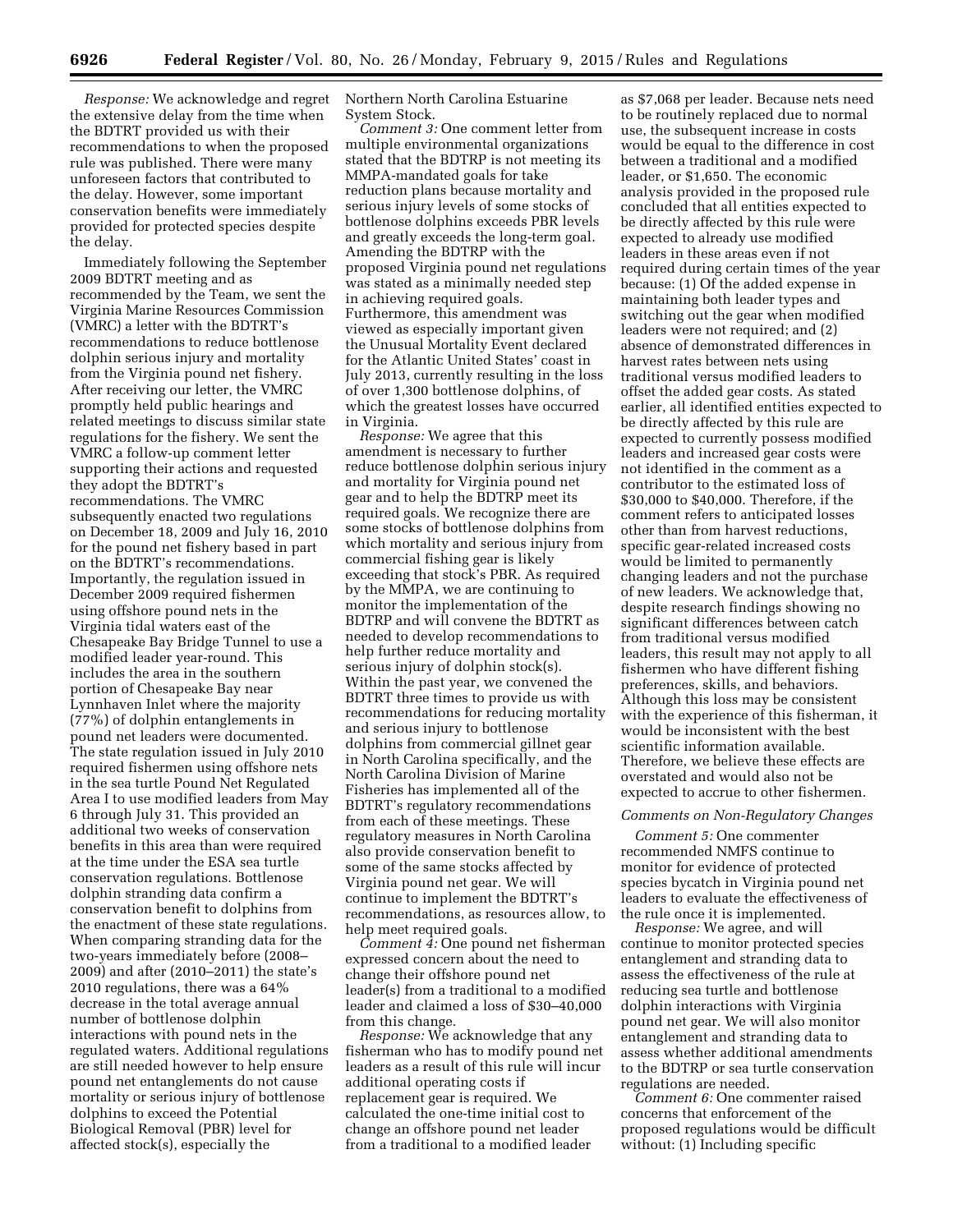*Response:* We acknowledge and regret the extensive delay from the time when the BDTRT provided us with their recommendations to when the proposed rule was published. There were many unforeseen factors that contributed to the delay. However, some important conservation benefits were immediately provided for protected species despite the delay.

Immediately following the September 2009 BDTRT meeting and as recommended by the Team, we sent the Virginia Marine Resources Commission (VMRC) a letter with the BDTRT's recommendations to reduce bottlenose dolphin serious injury and mortality from the Virginia pound net fishery. After receiving our letter, the VMRC promptly held public hearings and related meetings to discuss similar state regulations for the fishery. We sent the VMRC a follow-up comment letter supporting their actions and requested they adopt the BDTRT's recommendations. The VMRC subsequently enacted two regulations on December 18, 2009 and July 16, 2010 for the pound net fishery based in part on the BDTRT's recommendations. Importantly, the regulation issued in December 2009 required fishermen using offshore pound nets in the Virginia tidal waters east of the Chesapeake Bay Bridge Tunnel to use a modified leader year-round. This includes the area in the southern portion of Chesapeake Bay near Lynnhaven Inlet where the majority (77%) of dolphin entanglements in pound net leaders were documented. The state regulation issued in July 2010 required fishermen using offshore nets in the sea turtle Pound Net Regulated Area I to use modified leaders from May 6 through July 31. This provided an additional two weeks of conservation benefits in this area than were required at the time under the ESA sea turtle conservation regulations. Bottlenose dolphin stranding data confirm a conservation benefit to dolphins from the enactment of these state regulations. When comparing stranding data for the two-years immediately before (2008– 2009) and after (2010–2011) the state's 2010 regulations, there was a 64% decrease in the total average annual number of bottlenose dolphin interactions with pound nets in the regulated waters. Additional regulations are still needed however to help ensure pound net entanglements do not cause mortality or serious injury of bottlenose dolphins to exceed the Potential Biological Removal (PBR) level for affected stock(s), especially the

Northern North Carolina Estuarine System Stock.

*Comment 3:* One comment letter from multiple environmental organizations stated that the BDTRP is not meeting its MMPA-mandated goals for take reduction plans because mortality and serious injury levels of some stocks of bottlenose dolphins exceeds PBR levels and greatly exceeds the long-term goal. Amending the BDTRP with the proposed Virginia pound net regulations was stated as a minimally needed step in achieving required goals. Furthermore, this amendment was viewed as especially important given the Unusual Mortality Event declared for the Atlantic United States' coast in July 2013, currently resulting in the loss of over 1,300 bottlenose dolphins, of which the greatest losses have occurred in Virginia.

*Response:* We agree that this amendment is necessary to further reduce bottlenose dolphin serious injury and mortality for Virginia pound net gear and to help the BDTRP meet its required goals. We recognize there are some stocks of bottlenose dolphins from which mortality and serious injury from commercial fishing gear is likely exceeding that stock's PBR. As required by the MMPA, we are continuing to monitor the implementation of the BDTRP and will convene the BDTRT as needed to develop recommendations to help further reduce mortality and serious injury of dolphin stock(s). Within the past year, we convened the BDTRT three times to provide us with recommendations for reducing mortality and serious injury to bottlenose dolphins from commercial gillnet gear in North Carolina specifically, and the North Carolina Division of Marine Fisheries has implemented all of the BDTRT's regulatory recommendations from each of these meetings. These regulatory measures in North Carolina also provide conservation benefit to some of the same stocks affected by Virginia pound net gear. We will continue to implement the BDTRT's recommendations, as resources allow, to help meet required goals.

*Comment 4:* One pound net fisherman expressed concern about the need to change their offshore pound net leader(s) from a traditional to a modified leader and claimed a loss of \$30–40,000 from this change.

*Response:* We acknowledge that any fisherman who has to modify pound net leaders as a result of this rule will incur additional operating costs if replacement gear is required. We calculated the one-time initial cost to change an offshore pound net leader from a traditional to a modified leader

as \$7,068 per leader. Because nets need to be routinely replaced due to normal use, the subsequent increase in costs would be equal to the difference in cost between a traditional and a modified leader, or \$1,650. The economic analysis provided in the proposed rule concluded that all entities expected to be directly affected by this rule were expected to already use modified leaders in these areas even if not required during certain times of the year because: (1) Of the added expense in maintaining both leader types and switching out the gear when modified leaders were not required; and (2) absence of demonstrated differences in harvest rates between nets using traditional versus modified leaders to offset the added gear costs. As stated earlier, all identified entities expected to be directly affected by this rule are expected to currently possess modified leaders and increased gear costs were not identified in the comment as a contributor to the estimated loss of \$30,000 to \$40,000. Therefore, if the comment refers to anticipated losses other than from harvest reductions, specific gear-related increased costs would be limited to permanently changing leaders and not the purchase of new leaders. We acknowledge that, despite research findings showing no significant differences between catch from traditional versus modified leaders, this result may not apply to all fishermen who have different fishing preferences, skills, and behaviors. Although this loss may be consistent with the experience of this fisherman, it would be inconsistent with the best scientific information available. Therefore, we believe these effects are overstated and would also not be expected to accrue to other fishermen.

#### *Comments on Non-Regulatory Changes*

*Comment 5:* One commenter recommended NMFS continue to monitor for evidence of protected species bycatch in Virginia pound net leaders to evaluate the effectiveness of the rule once it is implemented.

*Response:* We agree, and will continue to monitor protected species entanglement and stranding data to assess the effectiveness of the rule at reducing sea turtle and bottlenose dolphin interactions with Virginia pound net gear. We will also monitor entanglement and stranding data to assess whether additional amendments to the BDTRP or sea turtle conservation regulations are needed.

*Comment 6:* One commenter raised concerns that enforcement of the proposed regulations would be difficult without: (1) Including specific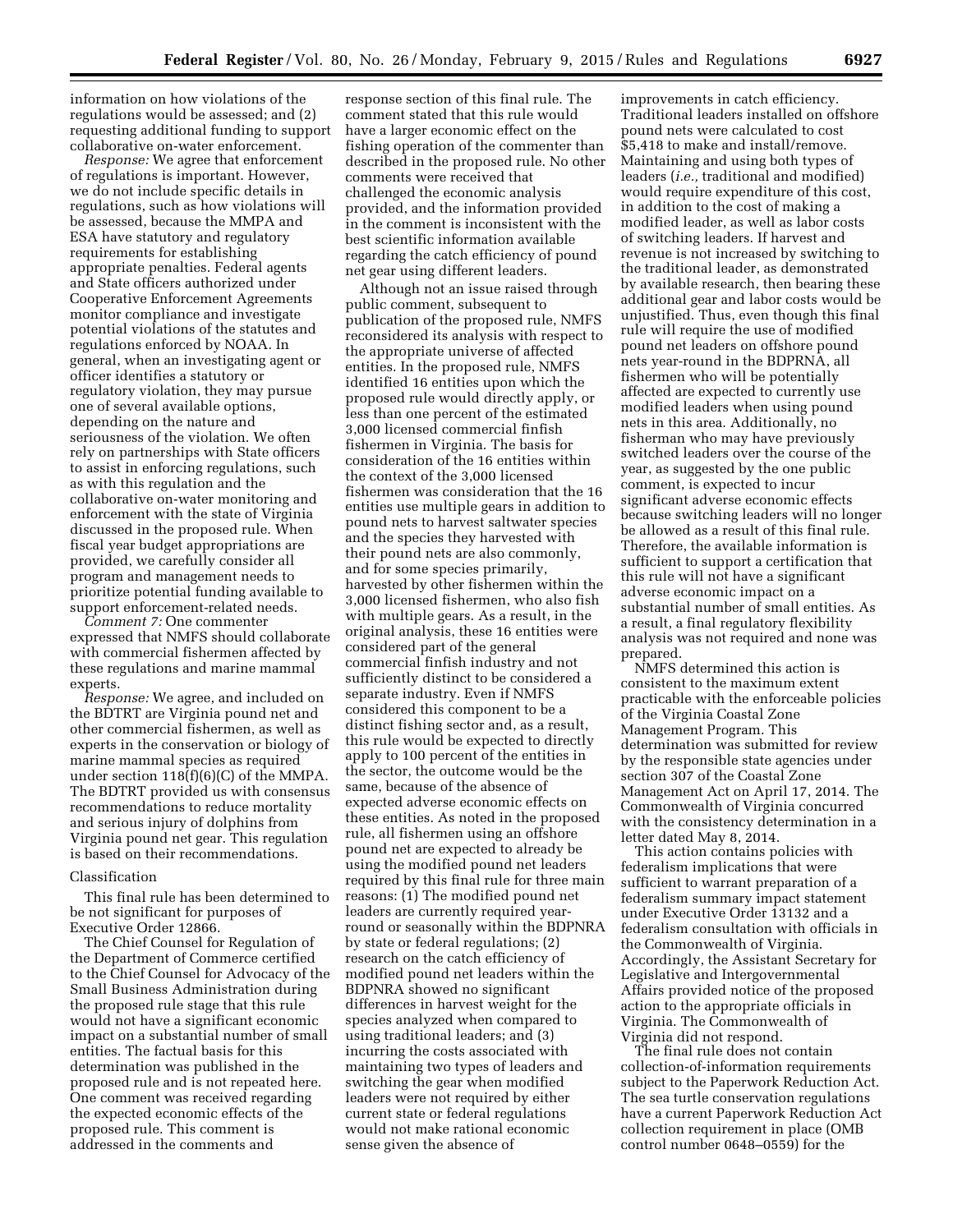information on how violations of the regulations would be assessed; and (2) requesting additional funding to support collaborative on-water enforcement.

*Response:* We agree that enforcement of regulations is important. However, we do not include specific details in regulations, such as how violations will be assessed, because the MMPA and ESA have statutory and regulatory requirements for establishing appropriate penalties. Federal agents and State officers authorized under Cooperative Enforcement Agreements monitor compliance and investigate potential violations of the statutes and regulations enforced by NOAA. In general, when an investigating agent or officer identifies a statutory or regulatory violation, they may pursue one of several available options, depending on the nature and seriousness of the violation. We often rely on partnerships with State officers to assist in enforcing regulations, such as with this regulation and the collaborative on-water monitoring and enforcement with the state of Virginia discussed in the proposed rule. When fiscal year budget appropriations are provided, we carefully consider all program and management needs to prioritize potential funding available to support enforcement-related needs.

*Comment 7:* One commenter expressed that NMFS should collaborate with commercial fishermen affected by these regulations and marine mammal experts.

*Response:* We agree, and included on the BDTRT are Virginia pound net and other commercial fishermen, as well as experts in the conservation or biology of marine mammal species as required under section  $118(f)(6)(C)$  of the MMPA. The BDTRT provided us with consensus recommendations to reduce mortality and serious injury of dolphins from Virginia pound net gear. This regulation is based on their recommendations.

### Classification

This final rule has been determined to be not significant for purposes of Executive Order 12866.

The Chief Counsel for Regulation of the Department of Commerce certified to the Chief Counsel for Advocacy of the Small Business Administration during the proposed rule stage that this rule would not have a significant economic impact on a substantial number of small entities. The factual basis for this determination was published in the proposed rule and is not repeated here. One comment was received regarding the expected economic effects of the proposed rule. This comment is addressed in the comments and

response section of this final rule. The comment stated that this rule would have a larger economic effect on the fishing operation of the commenter than described in the proposed rule. No other comments were received that challenged the economic analysis provided, and the information provided in the comment is inconsistent with the best scientific information available regarding the catch efficiency of pound net gear using different leaders.

Although not an issue raised through public comment, subsequent to publication of the proposed rule, NMFS reconsidered its analysis with respect to the appropriate universe of affected entities. In the proposed rule, NMFS identified 16 entities upon which the proposed rule would directly apply, or less than one percent of the estimated 3,000 licensed commercial finfish fishermen in Virginia. The basis for consideration of the 16 entities within the context of the 3,000 licensed fishermen was consideration that the 16 entities use multiple gears in addition to pound nets to harvest saltwater species and the species they harvested with their pound nets are also commonly, and for some species primarily, harvested by other fishermen within the 3,000 licensed fishermen, who also fish with multiple gears. As a result, in the original analysis, these 16 entities were considered part of the general commercial finfish industry and not sufficiently distinct to be considered a separate industry. Even if NMFS considered this component to be a distinct fishing sector and, as a result, this rule would be expected to directly apply to 100 percent of the entities in the sector, the outcome would be the same, because of the absence of expected adverse economic effects on these entities. As noted in the proposed rule, all fishermen using an offshore pound net are expected to already be using the modified pound net leaders required by this final rule for three main reasons: (1) The modified pound net leaders are currently required yearround or seasonally within the BDPNRA by state or federal regulations; (2) research on the catch efficiency of modified pound net leaders within the BDPNRA showed no significant differences in harvest weight for the species analyzed when compared to using traditional leaders; and (3) incurring the costs associated with maintaining two types of leaders and switching the gear when modified leaders were not required by either current state or federal regulations would not make rational economic sense given the absence of

improvements in catch efficiency. Traditional leaders installed on offshore pound nets were calculated to cost \$5,418 to make and install/remove. Maintaining and using both types of leaders (*i.e.,* traditional and modified) would require expenditure of this cost, in addition to the cost of making a modified leader, as well as labor costs of switching leaders. If harvest and revenue is not increased by switching to the traditional leader, as demonstrated by available research, then bearing these additional gear and labor costs would be unjustified. Thus, even though this final rule will require the use of modified pound net leaders on offshore pound nets year-round in the BDPRNA, all fishermen who will be potentially affected are expected to currently use modified leaders when using pound nets in this area. Additionally, no fisherman who may have previously switched leaders over the course of the year, as suggested by the one public comment, is expected to incur significant adverse economic effects because switching leaders will no longer be allowed as a result of this final rule. Therefore, the available information is sufficient to support a certification that this rule will not have a significant adverse economic impact on a substantial number of small entities. As a result, a final regulatory flexibility analysis was not required and none was prepared.

NMFS determined this action is consistent to the maximum extent practicable with the enforceable policies of the Virginia Coastal Zone Management Program. This determination was submitted for review by the responsible state agencies under section 307 of the Coastal Zone Management Act on April 17, 2014. The Commonwealth of Virginia concurred with the consistency determination in a letter dated May 8, 2014.

This action contains policies with federalism implications that were sufficient to warrant preparation of a federalism summary impact statement under Executive Order 13132 and a federalism consultation with officials in the Commonwealth of Virginia. Accordingly, the Assistant Secretary for Legislative and Intergovernmental Affairs provided notice of the proposed action to the appropriate officials in Virginia. The Commonwealth of Virginia did not respond.

The final rule does not contain collection-of-information requirements subject to the Paperwork Reduction Act. The sea turtle conservation regulations have a current Paperwork Reduction Act collection requirement in place (OMB control number 0648–0559) for the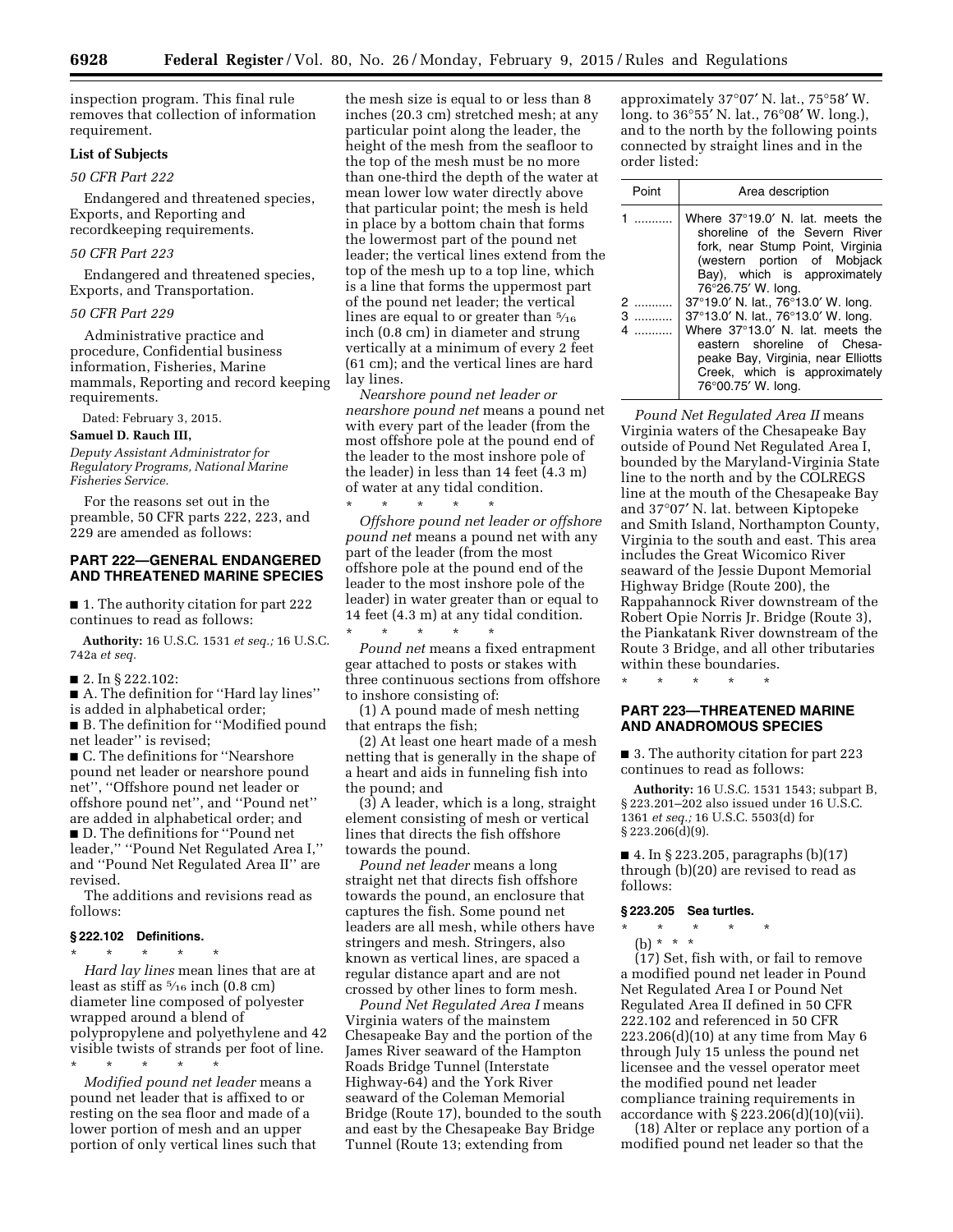inspection program. This final rule removes that collection of information requirement.

### **List of Subjects**

## *50 CFR Part 222*

Endangered and threatened species, Exports, and Reporting and recordkeeping requirements.

## *50 CFR Part 223*

Endangered and threatened species, Exports, and Transportation.

#### *50 CFR Part 229*

Administrative practice and procedure, Confidential business information, Fisheries, Marine mammals, Reporting and record keeping requirements.

Dated: February 3, 2015.

### **Samuel D. Rauch III,**

*Deputy Assistant Administrator for Regulatory Programs, National Marine Fisheries Service.* 

For the reasons set out in the preamble, 50 CFR parts 222, 223, and 229 are amended as follows:

### **PART 222—GENERAL ENDANGERED AND THREATENED MARINE SPECIES**

■ 1. The authority citation for part 222 continues to read as follows:

**Authority:** 16 U.S.C. 1531 *et seq.;* 16 U.S.C. 742a *et seq.* 

■ 2. In § 222.102:

■ A. The definition for "Hard lay lines" is added in alphabetical order;

■ B. The definition for "Modified pound net leader'' is revised;

■ C. The definitions for "Nearshore pound net leader or nearshore pound net'', ''Offshore pound net leader or offshore pound net'', and ''Pound net'' are added in alphabetical order; and ■ D. The definitions for "Pound net leader,'' ''Pound Net Regulated Area I,'' and ''Pound Net Regulated Area II'' are revised.

The additions and revisions read as follows:

## **§ 222.102 Definitions.**

\* \* \* \* \* *Hard lay lines* mean lines that are at least as stiff as  $\frac{5}{16}$  inch  $(0.8 \text{ cm})$ diameter line composed of polyester wrapped around a blend of polypropylene and polyethylene and 42 visible twists of strands per foot of line.

\* \* \* \* \* *Modified pound net leader* means a pound net leader that is affixed to or resting on the sea floor and made of a lower portion of mesh and an upper portion of only vertical lines such that

the mesh size is equal to or less than 8 inches (20.3 cm) stretched mesh; at any particular point along the leader, the height of the mesh from the seafloor to the top of the mesh must be no more than one-third the depth of the water at mean lower low water directly above that particular point; the mesh is held in place by a bottom chain that forms the lowermost part of the pound net leader; the vertical lines extend from the top of the mesh up to a top line, which is a line that forms the uppermost part of the pound net leader; the vertical lines are equal to or greater than  $\frac{5}{16}$ inch (0.8 cm) in diameter and strung vertically at a minimum of every 2 feet (61 cm); and the vertical lines are hard lay lines.

*Nearshore pound net leader or nearshore pound net* means a pound net with every part of the leader (from the most offshore pole at the pound end of the leader to the most inshore pole of the leader) in less than 14 feet (4.3 m) of water at any tidal condition.

\* \* \* \* \* *Offshore pound net leader or offshore pound net* means a pound net with any part of the leader (from the most offshore pole at the pound end of the leader to the most inshore pole of the leader) in water greater than or equal to 14 feet (4.3 m) at any tidal condition. \* \* \* \* \*

*Pound net* means a fixed entrapment gear attached to posts or stakes with three continuous sections from offshore to inshore consisting of:

(1) A pound made of mesh netting that entraps the fish;

(2) At least one heart made of a mesh netting that is generally in the shape of a heart and aids in funneling fish into the pound; and

(3) A leader, which is a long, straight element consisting of mesh or vertical lines that directs the fish offshore towards the pound.

*Pound net leader* means a long straight net that directs fish offshore towards the pound, an enclosure that captures the fish. Some pound net leaders are all mesh, while others have stringers and mesh. Stringers, also known as vertical lines, are spaced a regular distance apart and are not crossed by other lines to form mesh.

*Pound Net Regulated Area I* means Virginia waters of the mainstem Chesapeake Bay and the portion of the James River seaward of the Hampton Roads Bridge Tunnel (Interstate Highway-64) and the York River seaward of the Coleman Memorial Bridge (Route 17), bounded to the south and east by the Chesapeake Bay Bridge Tunnel (Route 13; extending from

approximately 37°07′ N. lat., 75°58′ W. long. to 36°55′ N. lat., 76°08′ W. long.), and to the north by the following points connected by straight lines and in the order listed:

| Point | Area description                                                                                                                                                                                                                           |
|-------|--------------------------------------------------------------------------------------------------------------------------------------------------------------------------------------------------------------------------------------------|
|       | Where $37^{\circ}19.0'$ N. lat. meets the<br>shoreline of the Severn River<br>fork, near Stump Point, Virginia<br>(western portion of Mobjack<br>Bay), which is approximately<br>76°26.75' W. long.                                        |
| 3.    | 37°19.0' N. lat., 76°13.0' W. long.<br>37°13.0' N. lat., 76°13.0' W. long.<br>Where 37°13.0' N. lat. meets the<br>eastern shoreline of Chesa-<br>peake Bay, Virginia, near Elliotts<br>Creek, which is approximately<br>76°00.75' W. long. |

*Pound Net Regulated Area II* means Virginia waters of the Chesapeake Bay outside of Pound Net Regulated Area I, bounded by the Maryland-Virginia State line to the north and by the COLREGS line at the mouth of the Chesapeake Bay and 37°07′ N. lat. between Kiptopeke and Smith Island, Northampton County, Virginia to the south and east. This area includes the Great Wicomico River seaward of the Jessie Dupont Memorial Highway Bridge (Route 200), the Rappahannock River downstream of the Robert Opie Norris Jr. Bridge (Route 3), the Piankatank River downstream of the Route 3 Bridge, and all other tributaries within these boundaries.

\* \* \* \* \*

# **PART 223—THREATENED MARINE AND ANADROMOUS SPECIES**

■ 3. The authority citation for part 223 continues to read as follows:

**Authority:** 16 U.S.C. 1531 1543; subpart B, § 223.201–202 also issued under 16 U.S.C. 1361 *et seq.;* 16 U.S.C. 5503(d) for § 223.206(d)(9).

■ 4. In § 223.205, paragraphs (b)(17) through (b)(20) are revised to read as follows:

#### **§ 223.205 Sea turtles.**

- \* \* \* \* \*
- (b) \* \* \*

(17) Set, fish with, or fail to remove a modified pound net leader in Pound Net Regulated Area I or Pound Net Regulated Area II defined in 50 CFR 222.102 and referenced in 50 CFR 223.206(d)(10) at any time from May 6 through July 15 unless the pound net licensee and the vessel operator meet the modified pound net leader compliance training requirements in accordance with § 223.206(d)(10)(vii).

(18) Alter or replace any portion of a modified pound net leader so that the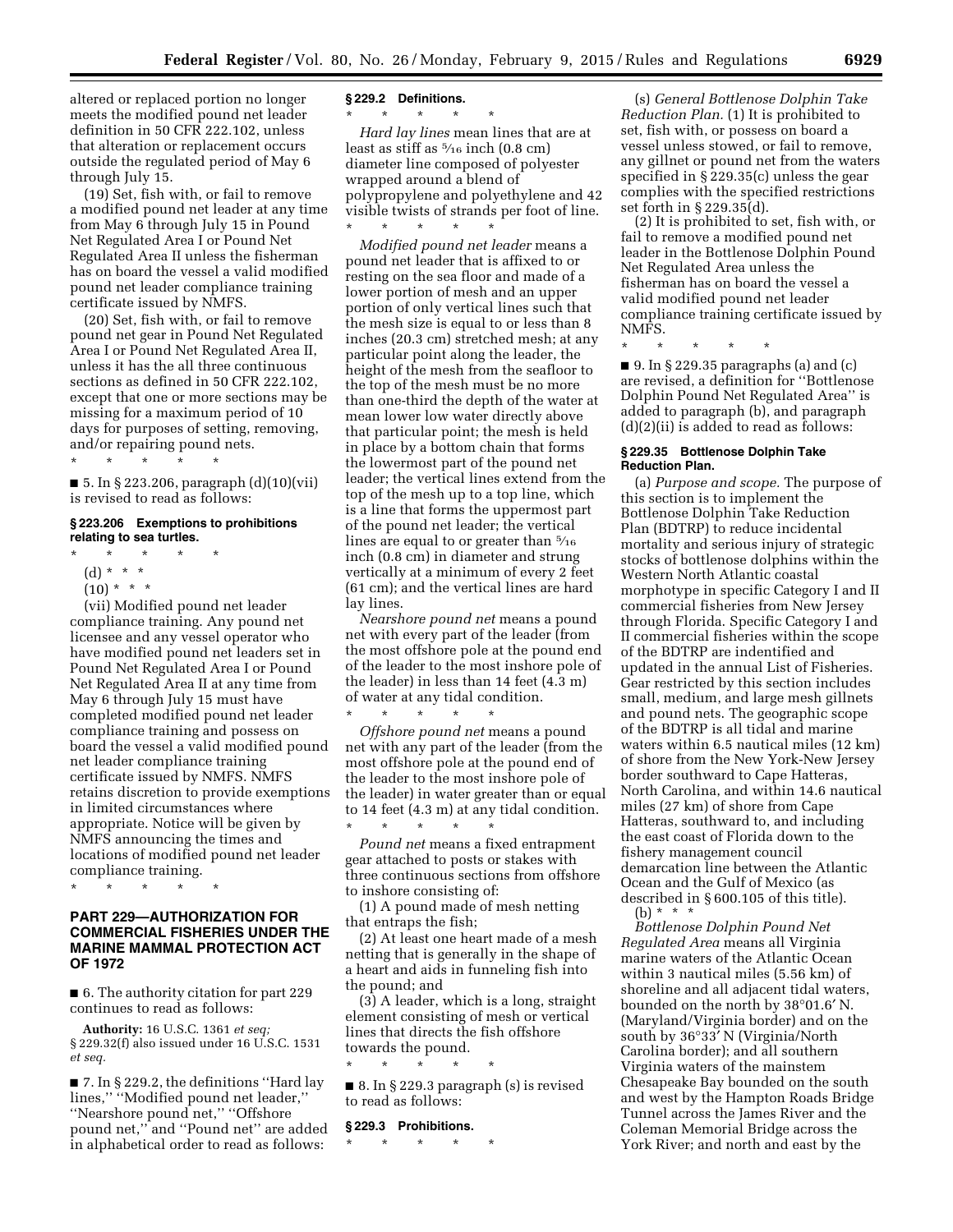altered or replaced portion no longer meets the modified pound net leader definition in 50 CFR 222.102, unless that alteration or replacement occurs outside the regulated period of May 6 through July 15.

(19) Set, fish with, or fail to remove a modified pound net leader at any time from May 6 through July 15 in Pound Net Regulated Area I or Pound Net Regulated Area II unless the fisherman has on board the vessel a valid modified pound net leader compliance training certificate issued by NMFS.

(20) Set, fish with, or fail to remove pound net gear in Pound Net Regulated Area I or Pound Net Regulated Area II, unless it has the all three continuous sections as defined in 50 CFR 222.102, except that one or more sections may be missing for a maximum period of 10 days for purposes of setting, removing, and/or repairing pound nets.

\* \* \* \* \* ■ 5. In § 223.206, paragraph (d)(10)(vii)

is revised to read as follows:

## **§ 223.206 Exemptions to prohibitions relating to sea turtles.**

- \* \* \* \* \*
	- (d) \* \* \* \*
	- $(10) * * * *$

(vii) Modified pound net leader compliance training. Any pound net licensee and any vessel operator who have modified pound net leaders set in Pound Net Regulated Area I or Pound Net Regulated Area II at any time from May 6 through July 15 must have completed modified pound net leader compliance training and possess on board the vessel a valid modified pound net leader compliance training certificate issued by NMFS. NMFS retains discretion to provide exemptions in limited circumstances where appropriate. Notice will be given by NMFS announcing the times and locations of modified pound net leader compliance training.

\* \* \* \* \*

# **PART 229—AUTHORIZATION FOR COMMERCIAL FISHERIES UNDER THE MARINE MAMMAL PROTECTION ACT OF 1972**

■ 6. The authority citation for part 229 continues to read as follows:

**Authority:** 16 U.S.C. 1361 *et seq;*  § 229.32(f) also issued under 16 U.S.C. 1531 *et seq.* 

■ 7. In § 229.2, the definitions ''Hard lay lines,'' ''Modified pound net leader,'' ''Nearshore pound net,'' ''Offshore pound net,'' and ''Pound net'' are added in alphabetical order to read as follows:

#### **§ 229.2 Definitions.**

\* \* \* \* \*

*Hard lay lines* mean lines that are at least as stiff as  $\frac{5}{16}$  inch  $(0.8 \text{ cm})$ diameter line composed of polyester wrapped around a blend of polypropylene and polyethylene and 42 visible twists of strands per foot of line. \* \* \* \* \*

*Modified pound net leader* means a pound net leader that is affixed to or resting on the sea floor and made of a lower portion of mesh and an upper portion of only vertical lines such that the mesh size is equal to or less than 8 inches (20.3 cm) stretched mesh; at any particular point along the leader, the height of the mesh from the seafloor to the top of the mesh must be no more than one-third the depth of the water at mean lower low water directly above that particular point; the mesh is held in place by a bottom chain that forms the lowermost part of the pound net leader; the vertical lines extend from the top of the mesh up to a top line, which is a line that forms the uppermost part of the pound net leader; the vertical lines are equal to or greater than  $\frac{5}{16}$ inch (0.8 cm) in diameter and strung vertically at a minimum of every 2 feet (61 cm); and the vertical lines are hard lay lines.

*Nearshore pound net* means a pound net with every part of the leader (from the most offshore pole at the pound end of the leader to the most inshore pole of the leader) in less than 14 feet (4.3 m) of water at any tidal condition.

\* \* \* \* \* *Offshore pound net* means a pound net with any part of the leader (from the most offshore pole at the pound end of the leader to the most inshore pole of the leader) in water greater than or equal to 14 feet (4.3 m) at any tidal condition. \* \* \* \* \*

*Pound net* means a fixed entrapment gear attached to posts or stakes with three continuous sections from offshore to inshore consisting of:

(1) A pound made of mesh netting that entraps the fish;

(2) At least one heart made of a mesh netting that is generally in the shape of a heart and aids in funneling fish into the pound; and

(3) A leader, which is a long, straight element consisting of mesh or vertical lines that directs the fish offshore towards the pound.

\* \* \* \* \*

■ 8. In § 229.3 paragraph (s) is revised to read as follows:

#### **§ 229.3 Prohibitions.**

\* \* \* \* \*

(s) *General Bottlenose Dolphin Take Reduction Plan.* (1) It is prohibited to set, fish with, or possess on board a vessel unless stowed, or fail to remove, any gillnet or pound net from the waters specified in § 229.35(c) unless the gear complies with the specified restrictions set forth in § 229.35(d).

(2) It is prohibited to set, fish with, or fail to remove a modified pound net leader in the Bottlenose Dolphin Pound Net Regulated Area unless the fisherman has on board the vessel a valid modified pound net leader compliance training certificate issued by NMFS.

\* \* \* \* \*

 $\blacksquare$  9. In § 229.35 paragraphs (a) and (c) are revised, a definition for ''Bottlenose Dolphin Pound Net Regulated Area'' is added to paragraph (b), and paragraph  $(d)(2)(ii)$  is added to read as follows:

### **§ 229.35 Bottlenose Dolphin Take Reduction Plan.**

(a) *Purpose and scope.* The purpose of this section is to implement the Bottlenose Dolphin Take Reduction Plan (BDTRP) to reduce incidental mortality and serious injury of strategic stocks of bottlenose dolphins within the Western North Atlantic coastal morphotype in specific Category I and II commercial fisheries from New Jersey through Florida. Specific Category I and II commercial fisheries within the scope of the BDTRP are indentified and updated in the annual List of Fisheries. Gear restricted by this section includes small, medium, and large mesh gillnets and pound nets. The geographic scope of the BDTRP is all tidal and marine waters within 6.5 nautical miles (12 km) of shore from the New York-New Jersey border southward to Cape Hatteras, North Carolina, and within 14.6 nautical miles (27 km) of shore from Cape Hatteras, southward to, and including the east coast of Florida down to the fishery management council demarcation line between the Atlantic Ocean and the Gulf of Mexico (as described in § 600.105 of this title). (b) \* \* \*

*Bottlenose Dolphin Pound Net Regulated Area* means all Virginia marine waters of the Atlantic Ocean within 3 nautical miles (5.56 km) of shoreline and all adjacent tidal waters, bounded on the north by 38°01.6′ N. (Maryland/Virginia border) and on the south by 36°33′ N (Virginia/North Carolina border); and all southern Virginia waters of the mainstem Chesapeake Bay bounded on the south and west by the Hampton Roads Bridge Tunnel across the James River and the Coleman Memorial Bridge across the York River; and north and east by the